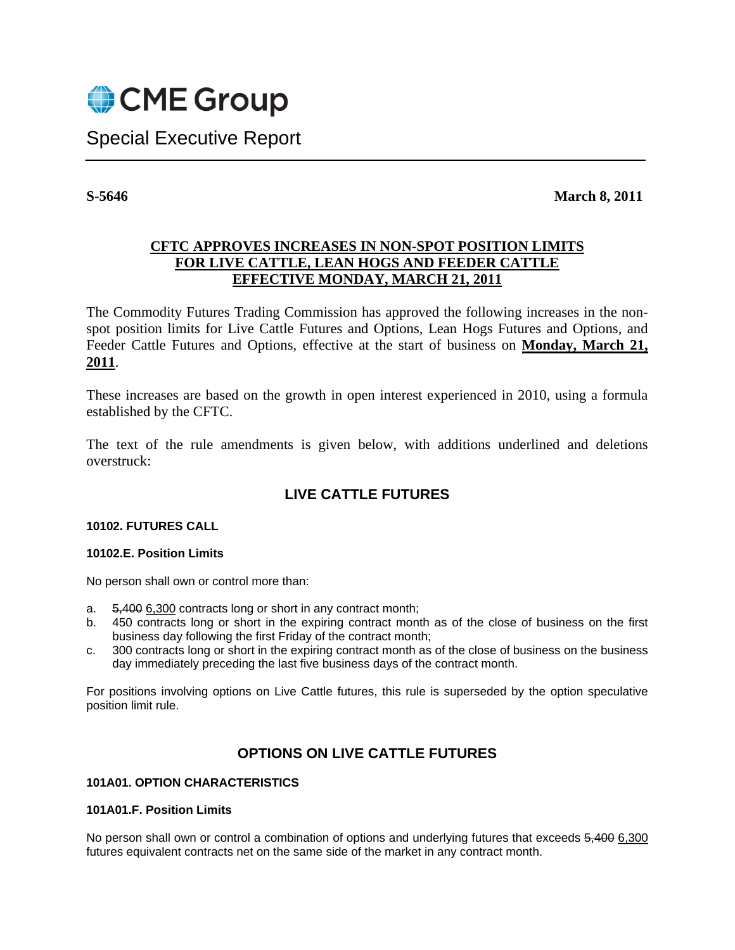

Special Executive Report

**S-5646** March 8, 2011

## **CFTC APPROVES INCREASES IN NON-SPOT POSITION LIMITS FOR LIVE CATTLE, LEAN HOGS AND FEEDER CATTLE EFFECTIVE MONDAY, MARCH 21, 2011**

The Commodity Futures Trading Commission has approved the following increases in the nonspot position limits for Live Cattle Futures and Options, Lean Hogs Futures and Options, and Feeder Cattle Futures and Options, effective at the start of business on **Monday, March 21, 2011**.

These increases are based on the growth in open interest experienced in 2010, using a formula established by the CFTC.

The text of the rule amendments is given below, with additions underlined and deletions overstruck:

# **LIVE CATTLE FUTURES**

## **10102. FUTURES CALL**

#### **10102.E. Position Limits**

No person shall own or control more than:

- a. 5,400 6,300 contracts long or short in any contract month;
- b. 450 contracts long or short in the expiring contract month as of the close of business on the first business day following the first Friday of the contract month;
- c. 300 contracts long or short in the expiring contract month as of the close of business on the business day immediately preceding the last five business days of the contract month.

For positions involving options on Live Cattle futures, this rule is superseded by the option speculative position limit rule.

## **OPTIONS ON LIVE CATTLE FUTURES**

## **101A01. OPTION CHARACTERISTICS**

#### **101A01.F. Position Limits**

No person shall own or control a combination of options and underlying futures that exceeds 5,400 6,300 futures equivalent contracts net on the same side of the market in any contract month.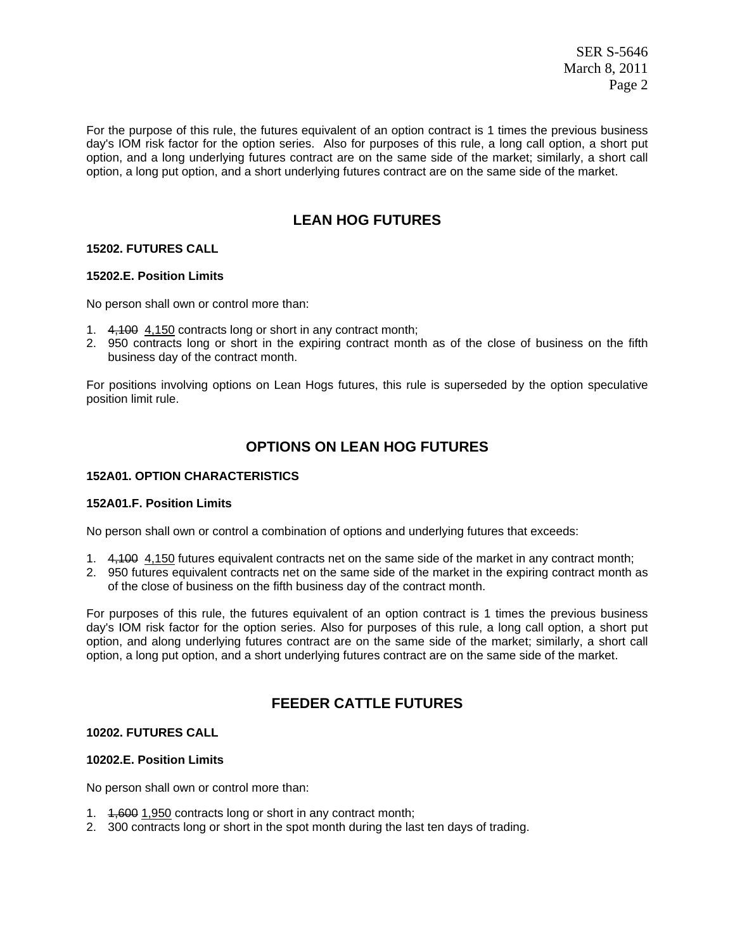SER S-5646 March 8, 2011 Page 2

For the purpose of this rule, the futures equivalent of an option contract is 1 times the previous business day's IOM risk factor for the option series. Also for purposes of this rule, a long call option, a short put option, and a long underlying futures contract are on the same side of the market; similarly, a short call option, a long put option, and a short underlying futures contract are on the same side of the market.

# **LEAN HOG FUTURES**

#### **15202. FUTURES CALL**

#### **15202.E. Position Limits**

No person shall own or control more than:

- 1. 4,100 4,150 contracts long or short in any contract month;
- 2. 950 contracts long or short in the expiring contract month as of the close of business on the fifth business day of the contract month.

For positions involving options on Lean Hogs futures, this rule is superseded by the option speculative position limit rule.

## **OPTIONS ON LEAN HOG FUTURES**

#### **152A01. OPTION CHARACTERISTICS**

#### **152A01.F. Position Limits**

No person shall own or control a combination of options and underlying futures that exceeds:

- 1. 4, 400 4, 150 futures equivalent contracts net on the same side of the market in any contract month;
- 2. 950 futures equivalent contracts net on the same side of the market in the expiring contract month as of the close of business on the fifth business day of the contract month.

For purposes of this rule, the futures equivalent of an option contract is 1 times the previous business day's IOM risk factor for the option series. Also for purposes of this rule, a long call option, a short put option, and along underlying futures contract are on the same side of the market; similarly, a short call option, a long put option, and a short underlying futures contract are on the same side of the market.

## **FEEDER CATTLE FUTURES**

### **10202. FUTURES CALL**

#### **10202.E. Position Limits**

No person shall own or control more than:

- 1. 1,600 1,950 contracts long or short in any contract month;
- 2. 300 contracts long or short in the spot month during the last ten days of trading.